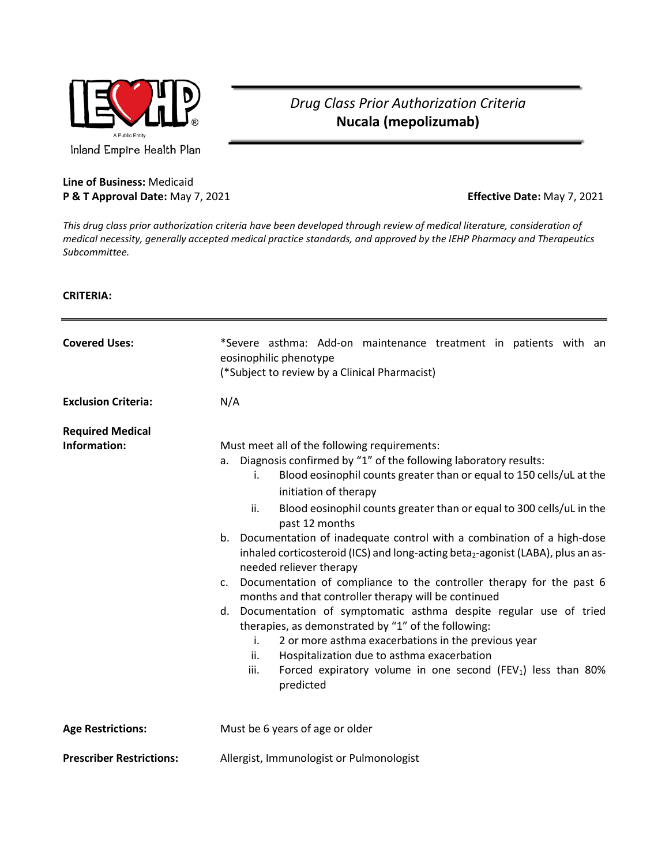

## *Drug Class Prior Authorization Criteria* **Nucala (mepolizumab)**

## **Line of Business:** Medicaid **P & T Approval Date:** May 7, 2021 **Effective Date:** May 7, 2021

*This drug class prior authorization criteria have been developed through review of medical literature, consideration of medical necessity, generally accepted medical practice standards, and approved by the IEHP Pharmacy and Therapeutics Subcommittee.*

## **CRITERIA:**

| <b>Covered Uses:</b><br><b>Exclusion Criteria:</b> | *Severe asthma: Add-on maintenance treatment in patients with an<br>eosinophilic phenotype<br>(*Subject to review by a Clinical Pharmacist)<br>N/A                                                                                                                                                                                                                                                                                                                                                                                                                                                                                                                                                                                                                                                                                                                                                                                                                                                                                        |
|----------------------------------------------------|-------------------------------------------------------------------------------------------------------------------------------------------------------------------------------------------------------------------------------------------------------------------------------------------------------------------------------------------------------------------------------------------------------------------------------------------------------------------------------------------------------------------------------------------------------------------------------------------------------------------------------------------------------------------------------------------------------------------------------------------------------------------------------------------------------------------------------------------------------------------------------------------------------------------------------------------------------------------------------------------------------------------------------------------|
| <b>Required Medical</b><br>Information:            | Must meet all of the following requirements:<br>Diagnosis confirmed by "1" of the following laboratory results:<br>a.<br>Blood eosinophil counts greater than or equal to 150 cells/uL at the<br>i.<br>initiation of therapy<br>ii.<br>Blood eosinophil counts greater than or equal to 300 cells/uL in the<br>past 12 months<br>Documentation of inadequate control with a combination of a high-dose<br>b.<br>inhaled corticosteroid (ICS) and long-acting beta <sub>2</sub> -agonist (LABA), plus an as-<br>needed reliever therapy<br>Documentation of compliance to the controller therapy for the past 6<br>C <sub>1</sub><br>months and that controller therapy will be continued<br>d. Documentation of symptomatic asthma despite regular use of tried<br>therapies, as demonstrated by "1" of the following:<br>2 or more asthma exacerbations in the previous year<br>i.<br>ii.<br>Hospitalization due to asthma exacerbation<br>iii.<br>Forced expiratory volume in one second (FEV <sub>1</sub> ) less than 80%<br>predicted |
| <b>Age Restrictions:</b>                           | Must be 6 years of age or older                                                                                                                                                                                                                                                                                                                                                                                                                                                                                                                                                                                                                                                                                                                                                                                                                                                                                                                                                                                                           |
| <b>Prescriber Restrictions:</b>                    | Allergist, Immunologist or Pulmonologist                                                                                                                                                                                                                                                                                                                                                                                                                                                                                                                                                                                                                                                                                                                                                                                                                                                                                                                                                                                                  |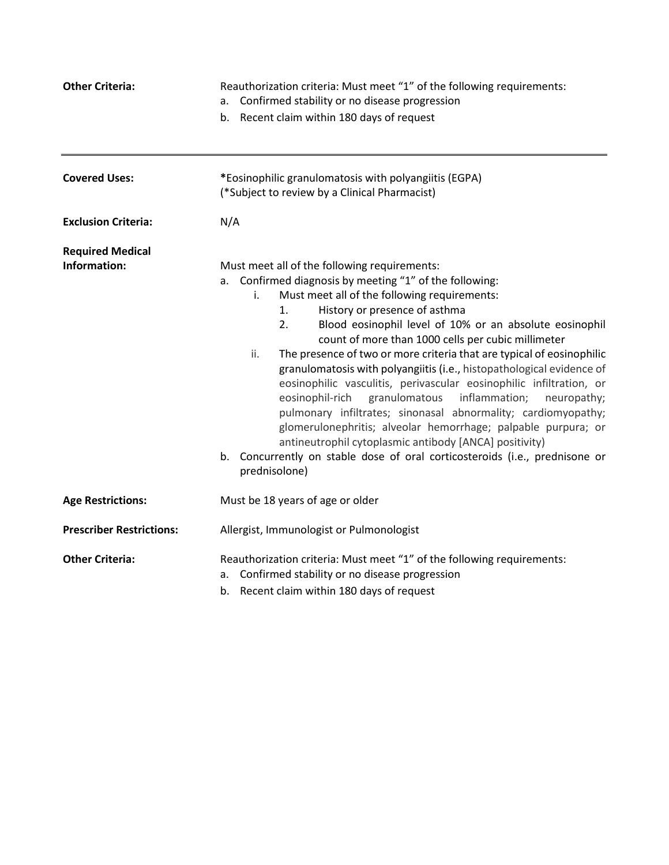| <b>Other Criteria:</b>                  | Reauthorization criteria: Must meet "1" of the following requirements:<br>Confirmed stability or no disease progression<br>a.<br>b. Recent claim within 180 days of request                                                                                                                                                                                                                                                                                                                                                                                                                                                                                                                                                                                                                                                                                                                                                    |
|-----------------------------------------|--------------------------------------------------------------------------------------------------------------------------------------------------------------------------------------------------------------------------------------------------------------------------------------------------------------------------------------------------------------------------------------------------------------------------------------------------------------------------------------------------------------------------------------------------------------------------------------------------------------------------------------------------------------------------------------------------------------------------------------------------------------------------------------------------------------------------------------------------------------------------------------------------------------------------------|
| <b>Covered Uses:</b>                    | *Eosinophilic granulomatosis with polyangiitis (EGPA)<br>(*Subject to review by a Clinical Pharmacist)                                                                                                                                                                                                                                                                                                                                                                                                                                                                                                                                                                                                                                                                                                                                                                                                                         |
| <b>Exclusion Criteria:</b>              | N/A                                                                                                                                                                                                                                                                                                                                                                                                                                                                                                                                                                                                                                                                                                                                                                                                                                                                                                                            |
| <b>Required Medical</b><br>Information: | Must meet all of the following requirements:<br>a. Confirmed diagnosis by meeting "1" of the following:<br>Must meet all of the following requirements:<br>i.<br>1.<br>History or presence of asthma<br>2.<br>Blood eosinophil level of 10% or an absolute eosinophil<br>count of more than 1000 cells per cubic millimeter<br>The presence of two or more criteria that are typical of eosinophilic<br>ii.<br>granulomatosis with polyangiitis (i.e., histopathological evidence of<br>eosinophilic vasculitis, perivascular eosinophilic infiltration, or<br>eosinophil-rich<br>granulomatous<br>inflammation;<br>neuropathy;<br>pulmonary infiltrates; sinonasal abnormality; cardiomyopathy;<br>glomerulonephritis; alveolar hemorrhage; palpable purpura; or<br>antineutrophil cytoplasmic antibody [ANCA] positivity)<br>Concurrently on stable dose of oral corticosteroids (i.e., prednisone or<br>b.<br>prednisolone) |
| <b>Age Restrictions:</b>                | Must be 18 years of age or older                                                                                                                                                                                                                                                                                                                                                                                                                                                                                                                                                                                                                                                                                                                                                                                                                                                                                               |
| <b>Prescriber Restrictions:</b>         | Allergist, Immunologist or Pulmonologist                                                                                                                                                                                                                                                                                                                                                                                                                                                                                                                                                                                                                                                                                                                                                                                                                                                                                       |
| <b>Other Criteria:</b>                  | Reauthorization criteria: Must meet "1" of the following requirements:<br>Confirmed stability or no disease progression<br>a.<br>b. Recent claim within 180 days of request                                                                                                                                                                                                                                                                                                                                                                                                                                                                                                                                                                                                                                                                                                                                                    |